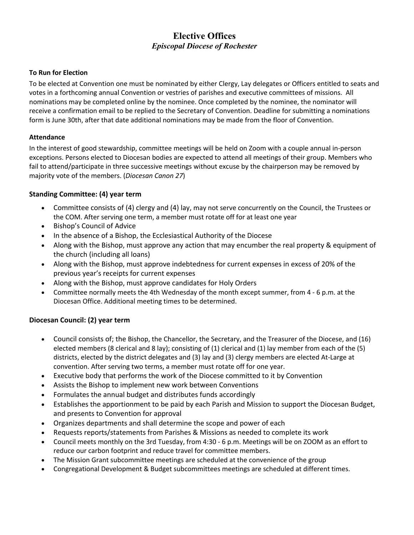# **Elective Offices** *Episcopal Diocese of Rochester*

#### **To Run for Election**

To be elected at Convention one must be nominated by either Clergy, Lay delegates or Officers entitled to seats and votes in a forthcoming annual Convention or vestries of parishes and executive committees of missions. All nominations may be completed online by the nominee. Once completed by the nominee, the nominator will receive a confirmation email to be replied to the Secretary of Convention. Deadline for submitting a nominations form is June 30th, after that date additional nominations may be made from the floor of Convention.

#### **Attendance**

In the interest of good stewardship, committee meetings will be held on Zoom with a couple annual in-person exceptions. Persons elected to Diocesan bodies are expected to attend all meetings of their group. Members who fail to attend/participate in three successive meetings without excuse by the chairperson may be removed by majority vote of the members. (*Diocesan Canon 27*)

## **Standing Committee: (4) year term**

- Committee consists of (4) clergy and (4) lay, may not serve concurrently on the Council, the Trustees or the COM. After serving one term, a member must rotate off for at least one year
- Bishop's Council of Advice
- In the absence of a Bishop, the Ecclesiastical Authority of the Diocese
- Along with the Bishop, must approve any action that may encumber the real property & equipment of the church (including all loans)
- Along with the Bishop, must approve indebtedness for current expenses in excess of 20% of the previous year's receipts for current expenses
- Along with the Bishop, must approve candidates for Holy Orders
- Committee normally meets the 4th Wednesday of the month except summer, from 4 6 p.m. at the Diocesan Office. Additional meeting times to be determined.

## **Diocesan Council: (2) year term**

- Council consists of; the Bishop, the Chancellor, the Secretary, and the Treasurer of the Diocese, and (16) elected members (8 clerical and 8 lay); consisting of (1) clerical and (1) lay member from each of the (5) districts, elected by the district delegates and (3) lay and (3) clergy members are elected At-Large at convention. After serving two terms, a member must rotate off for one year.
- Executive body that performs the work of the Diocese committed to it by Convention
- Assists the Bishop to implement new work between Conventions
- Formulates the annual budget and distributes funds accordingly
- Establishes the apportionment to be paid by each Parish and Mission to support the Diocesan Budget, and presents to Convention for approval
- Organizes departments and shall determine the scope and power of each
- Requests reports/statements from Parishes & Missions as needed to complete its work
- Council meets monthly on the 3rd Tuesday, from 4:30 6 p.m. Meetings will be on ZOOM as an effort to reduce our carbon footprint and reduce travel for committee members.
- The Mission Grant subcommittee meetings are scheduled at the convenience of the group
- Congregational Development & Budget subcommittees meetings are scheduled at different times.